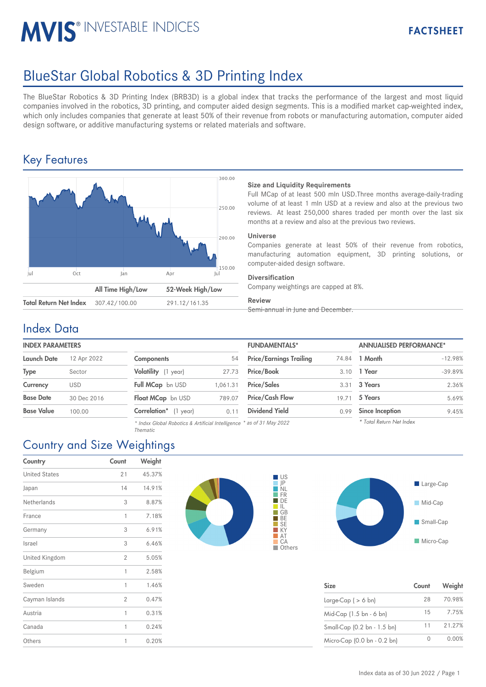# **MVIS® INVESTABLE INDICES**

# BlueStar Global Robotics & 3D Printing Index

The BlueStar Robotics & 3D Printing Index (BRB3D) is a global index that tracks the performance of the largest and most liquid companies involved in the robotics, 3D printing, and computer aided design segments. This is a modified market cap-weighted index, which only includes companies that generate at least 50% of their revenue from robots or manufacturing automation, computer aided design software, or additive manufacturing systems or related materials and software.

## Key Features



## **Size and Liquidity Requirements**

Full MCap of at least 500 mln USD.Three months average-daily-trading volume of at least 1 mln USD at a review and also at the previous two reviews. At least 250,000 shares traded per month over the last six months at a review and also at the previous two reviews.

### **Universe**

Companies generate at least 50% of their revenue from robotics, manufacturing automation equipment, 3D printing solutions, or computer-aided design software.

### **Diversification**

Company weightings are capped at 8%.

## **Review**

Semi-annual in June and December.

## Index Data

## **INDEX PARAMETERS**

| <b>Launch Date</b> | 12 Apr 2022 |
|--------------------|-------------|
| <b>Type</b>        | Sector      |
| Currency           | USD         |
| <b>Base Date</b>   | 30 Dec 2016 |
| <b>Base Value</b>  | 100.00      |

| <b>Components</b>          | 54       |
|----------------------------|----------|
| <b>Volatility</b> (1 year) | 27.73    |
| Full MCap bn USD           | 1,061.31 |
| <b>Float MCap</b> bn USD   | 789.07   |
| Correlation* (1 year)      | 0.11     |

*\* Indxx Global Robotics & Artificial Intelligence \* as of 31 May 2022 Thematic*

| <b>INDEX PARAMETERS</b> |             |                               |         | <b>FUNDAMENTALS*</b>           |       | <b>ANNUALISED PERFORMANCE*</b> |           |
|-------------------------|-------------|-------------------------------|---------|--------------------------------|-------|--------------------------------|-----------|
| Launch Date             | 12 Apr 2022 | <b>Components</b>             | 54      | <b>Price/Earnings Trailing</b> | 74.84 | 1 Month                        | $-12.98%$ |
| Type                    | Sector      | Volatility (1 year)           | 27.73   | Price/Book                     | 3.10  | 1 Year                         | $-39.89%$ |
| Currency                | <b>USD</b>  | Full MCap bn USD              | .061.31 | <b>Price/Sales</b>             | 3.31  | 3 Years                        | 2.36%     |
| <b>Base Date</b>        | 30 Dec 2016 | Float MCap bn USD             | 789.07  | <b>Price/Cash Flow</b>         | 19.71 | 5 Years                        | 5.69%     |
| Base Value              | 100.00      | <b>Correlation</b> * (1 year) | 0.11    | <b>Dividend Yield</b>          | 0.99  | <b>Since Inception</b>         | 9.45%     |
|                         |             |                               |         |                                |       | $\cdots$ $\cdots$ $\cdots$     |           |

| <b>Since Inception</b> |
|------------------------|
|                        |

## Country and Size Weightings

| Country              | Count | Weight |
|----------------------|-------|--------|
| <b>United States</b> | 21    | 45.37% |
| Japan                | 14    | 14.91% |
| Netherlands          | 3     | 8.87%  |
| France               | 1     | 7.18%  |
| Germany              | 3     | 6.91%  |
| Israel               | 3     | 6.46%  |
| United Kingdom       | 2     | 5.05%  |
| Belgium              | 1     | 2.58%  |
| Sweden               | 1     | 1.46%  |
| Cayman Islands       | 2     | 0.47%  |
| Austria              | 1     | 0.31%  |
| Canada               | 1     | 0.24%  |
| Others               | 1     | 0.20%  |





| <b>Size</b>                 | Count | Weight |
|-----------------------------|-------|--------|
| Large-Cap ( $> 6$ bn)       | 28    | 70.98% |
| Mid-Cap (1.5 bn - 6 bn)     | 15    | 7.75%  |
| Small-Cap (0.2 bn - 1.5 bn) | 11    | 21.27% |
| Micro-Cap (0.0 bn - 0.2 bn) |       | 0.00%  |